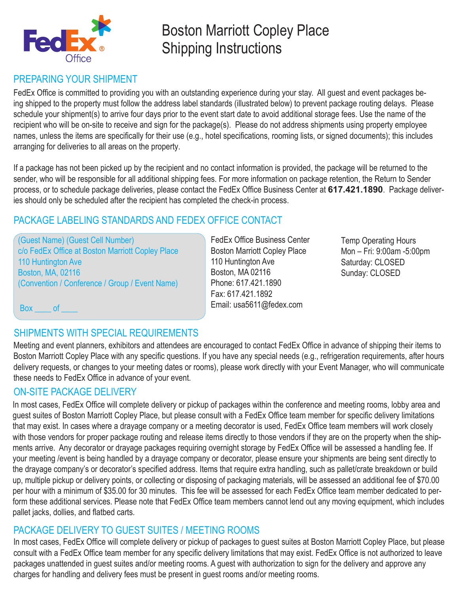

# Boston Marriott Copley Place Shipping Instructions

### PREPARING YOUR SHIPMENT

FedEx Office is committed to providing you with an outstanding experience during your stay. All guest and event packages being shipped to the property must follow the address label standards (illustrated below) to prevent package routing delays. Please schedule your shipment(s) to arrive four days prior to the event start date to avoid additional storage fees. Use the name of the recipient who will be on-site to receive and sign for the package(s). Please do not address shipments using property employee names, unless the items are specifically for their use (e.g., hotel specifications, rooming lists, or signed documents); this includes arranging for deliveries to all areas on the property.

If a package has not been picked up by the recipient and no contact information is provided, the package will be returned to the sender, who will be responsible for all additional shipping fees. For more information on package retention, the Return to Sender process, or to schedule package deliveries, please contact the FedEx Office Business Center at **617.421.1890**. Package deliveries should only be scheduled after the recipient has completed the check-in process.

### PACKAGE LABELING STANDARDS AND FEDEX OFFICE CONTACT

(Guest Name) (Guest Cell Number) c/o FedEx Office at Boston Marriott Copley Place 110 Huntington Ave Boston, MA, 02116 (Convention / Conference / Group / Event Name)

FedEx Office Business Center Boston Marriott Copley Place 110 Huntington Ave Boston, MA 02116 Phone: 617.421.1890 Fax: 617.421.1892 Email: [usa5611@fedex.com](mailto:usa5611@fedex.com) 

Temp Operating Hours Mon – Fri: 9:00am -5:00pm Saturday: CLOSED Sunday: CLOSED

Box of

# SHIPMENTS WITH SPECIAL REQUIREMENTS

Meeting and event planners, exhibitors and attendees are encouraged to contact FedEx Office in advance of shipping their items to Boston Marriott Copley Place with any specific questions. If you have any special needs (e.g., refrigeration requirements, after hours delivery requests, or changes to your meeting dates or rooms), please work directly with your Event Manager, who will communicate these needs to FedEx Office in advance of your event.

### ON-SITE PACKAGE DELIVERY

In most cases, FedEx Office will complete delivery or pickup of packages within the conference and meeting rooms, lobby area and guest suites of Boston Marriott Copley Place, but please consult with a FedEx Office team member for specific delivery limitations that may exist. In cases where a drayage company or a meeting decorator is used, FedEx Office team members will work closely with those vendors for proper package routing and release items directly to those vendors if they are on the property when the shipments arrive. Any decorator or drayage packages requiring overnight storage by FedEx Office will be assessed a handling fee. If your meeting /event is being handled by a drayage company or decorator, please ensure your shipments are being sent directly to the drayage company's or decorator's specified address. Items that require extra handling, such as pallet/crate breakdown or build up, multiple pickup or delivery points, or collecting or disposing of packaging materials, will be assessed an additional fee of \$70.00 per hour with a minimum of \$35.00 for 30 minutes. This fee will be assessed for each FedEx Office team member dedicated to perform these additional services. Please note that FedEx Office team members cannot lend out any moving equipment, which includes pallet jacks, dollies, and flatbed carts.

### PACKAGE DELIVERY TO GUEST SUITES / MEETING ROOMS

In most cases, FedEx Office will complete delivery or pickup of packages to guest suites at Boston Marriott Copley Place, but please consult with a FedEx Office team member for any specific delivery limitations that may exist. FedEx Office is not authorized to leave packages unattended in guest suites and/or meeting rooms. A guest with authorization to sign for the delivery and approve any charges for handling and delivery fees must be present in guest rooms and/or meeting rooms.